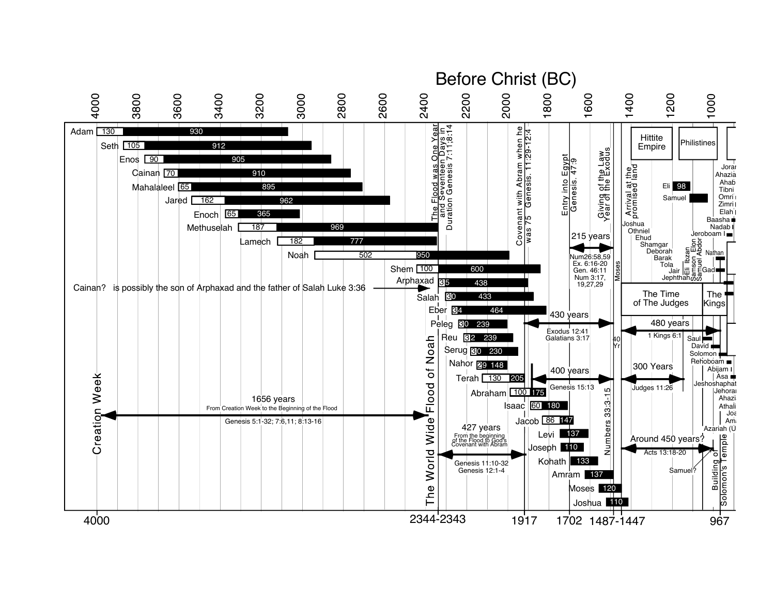